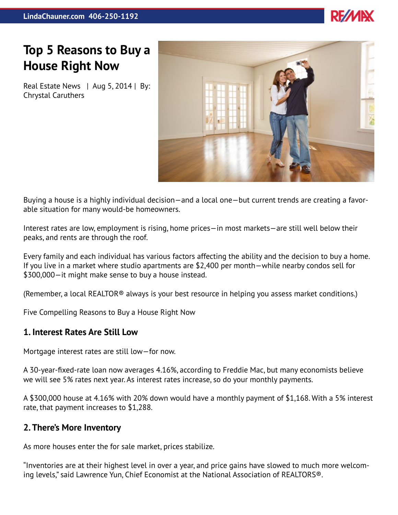

# **Top 5 Reasons to Buy a House Right Now**

Real Estate News | Aug 5, 2014 | By: Chrystal Caruthers



Buying a house is a highly individual decision—and a local one—but current trends are creating a favorable situation for many would-be homeowners.

Interest rates are low, employment is rising, home prices—in most markets—are still well below their peaks, and rents are through the roof.

Every family and each individual has various factors affecting the ability and the decision to buy a home. If you live in a market where studio apartments are \$2,400 per month—while nearby condos sell for \$300,000—it might make sense to buy a house instead.

(Remember, a local REALTOR® always is your best resource in helping you assess market conditions.)

Five Compelling Reasons to Buy a House Right Now

# **1. Interest Rates Are Still Low**

Mortgage interest rates are still low—for now.

A 30-year-fixed-rate loan now averages 4.16%, according to Freddie Mac, but many economists believe we will see 5% rates next year. As interest rates increase, so do your monthly payments.

A \$300,000 house at 4.16% with 20% down would have a monthly payment of \$1,168. With a 5% interest rate, that payment increases to \$1,288.

# **2. There's More Inventory**

As more houses enter the for sale market, prices stabilize.

"Inventories are at their highest level in over a year, and price gains have slowed to much more welcoming levels," said Lawrence Yun, Chief Economist at the National Association of REALTORS®.